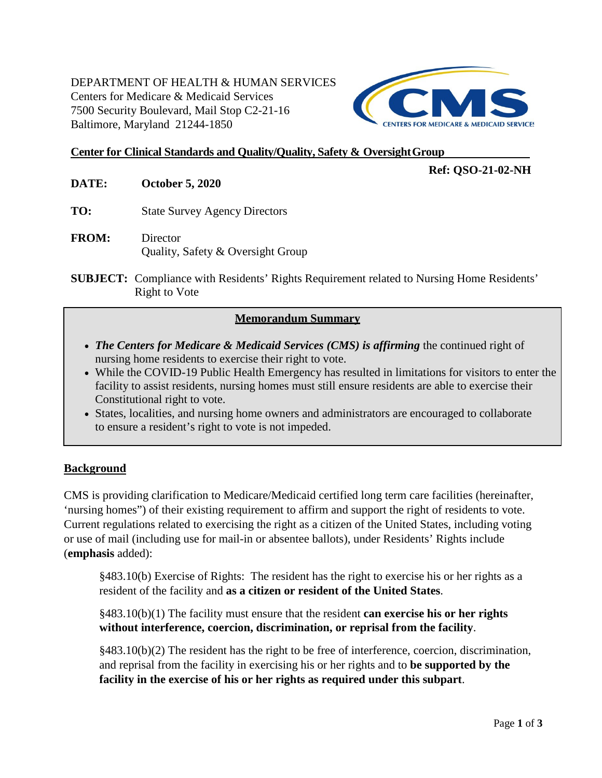## DEPARTMENT OF HEALTH & HUMAN SERVICES Centers for Medicare & Medicaid Services 7500 Security Boulevard, Mail Stop C2-21-16 Baltimore, Maryland 21244-1850



### **Center for Clinical Standards and Quality/Quality, Safety & OversightGroup**

## **Ref: QSO-21-02-NH**

- **DATE: October 5, 2020**
- **TO:** State Survey Agency Directors
- **FROM:** Director Quality, Safety & Oversight Group
- **SUBJECT:** Compliance with Residents' Rights Requirement related to Nursing Home Residents' Right to Vote

### **Memorandum Summary**

- *The Centers for Medicare & Medicaid Services (CMS) is affirming* the continued right of nursing home residents to exercise their right to vote.
- While the COVID-19 Public Health Emergency has resulted in limitations for visitors to enter the facility to assist residents, nursing homes must still ensure residents are able to exercise their Constitutional right to vote.
- States, localities, and nursing home owners and administrators are encouraged to collaborate to ensure a resident's right to vote is not impeded.

#### **Background**

CMS is providing clarification to Medicare/Medicaid certified long term care facilities (hereinafter, 'nursing homes") of their existing requirement to affirm and support the right of residents to vote. Current regulations related to exercising the right as a citizen of the United States, including voting or use of mail (including use for mail-in or absentee ballots), under Residents' Rights include (**emphasis** added):

§483.10(b) Exercise of Rights: The resident has the right to exercise his or her rights as a resident of the facility and **as a citizen or resident of the United States**.

§483.10(b)(1) The facility must ensure that the resident **can exercise his or her rights without interference, coercion, discrimination, or reprisal from the facility**.

§483.10(b)(2) The resident has the right to be free of interference, coercion, discrimination, and reprisal from the facility in exercising his or her rights and to **be supported by the facility in the exercise of his or her rights as required under this subpart**.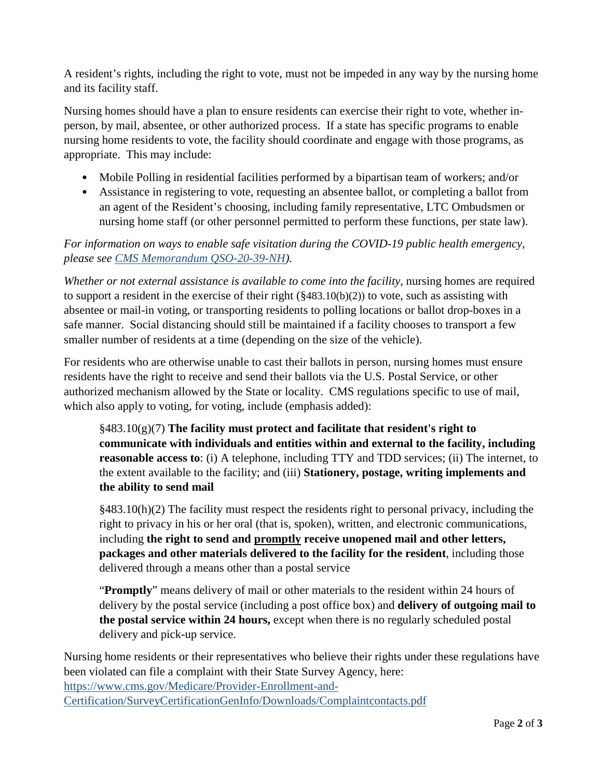A resident's rights, including the right to vote, must not be impeded in any way by the nursing home and its facility staff.

Nursing homes should have a plan to ensure residents can exercise their right to vote, whether inperson, by mail, absentee, or other authorized process. If a state has specific programs to enable nursing home residents to vote, the facility should coordinate and engage with those programs, as appropriate. This may include:

- Mobile Polling in residential facilities performed by a bipartisan team of workers; and/or
- Assistance in registering to vote, requesting an absentee ballot, or completing a ballot from an agent of the Resident's choosing, including family representative, LTC Ombudsmen or nursing home staff (or other personnel permitted to perform these functions, per state law).

*For information on ways to enable safe visitation during the COVID-19 public health emergency, please see [CMS Memorandum QSO-20-39-NH\)](https://www.cms.gov/files/document/qso-20-39-nh.pdf).*

*Whether or not external assistance is available to come into the facility*, nursing homes are required to support a resident in the exercise of their right (§483.10(b)(2)) to vote, such as assisting with absentee or mail-in voting, or transporting residents to polling locations or ballot drop-boxes in a safe manner. Social distancing should still be maintained if a facility chooses to transport a few smaller number of residents at a time (depending on the size of the vehicle).

For residents who are otherwise unable to cast their ballots in person, nursing homes must ensure residents have the right to receive and send their ballots via the U.S. Postal Service, or other authorized mechanism allowed by the State or locality. CMS regulations specific to use of mail, which also apply to voting, for voting, include (emphasis added):

§483.10(g)(7) **The facility must protect and facilitate that resident's right to communicate with individuals and entities within and external to the facility, including reasonable access to**: (i) A telephone, including TTY and TDD services; (ii) The internet, to the extent available to the facility; and (iii) **Stationery, postage, writing implements and the ability to send mail**

 $§483.10(h)(2)$  The facility must respect the residents right to personal privacy, including the right to privacy in his or her oral (that is, spoken), written, and electronic communications, including **the right to send and promptly receive unopened mail and other letters, packages and other materials delivered to the facility for the resident**, including those delivered through a means other than a postal service

"**Promptly**" means delivery of mail or other materials to the resident within 24 hours of delivery by the postal service (including a post office box) and **delivery of outgoing mail to the postal service within 24 hours,** except when there is no regularly scheduled postal delivery and pick-up service.

Nursing home residents or their representatives who believe their rights under these regulations have been violated can file a complaint with their State Survey Agency, here: [https://www.cms.gov/Medicare/Provider-Enrollment-and-](https://www.cms.gov/Medicare/Provider-Enrollment-and-Certification/SurveyCertificationGenInfo/Downloads/Complaintcontacts.pdf)[Certification/SurveyCertificationGenInfo/Downloads/Complaintcontacts.pdf](https://www.cms.gov/Medicare/Provider-Enrollment-and-Certification/SurveyCertificationGenInfo/Downloads/Complaintcontacts.pdf)